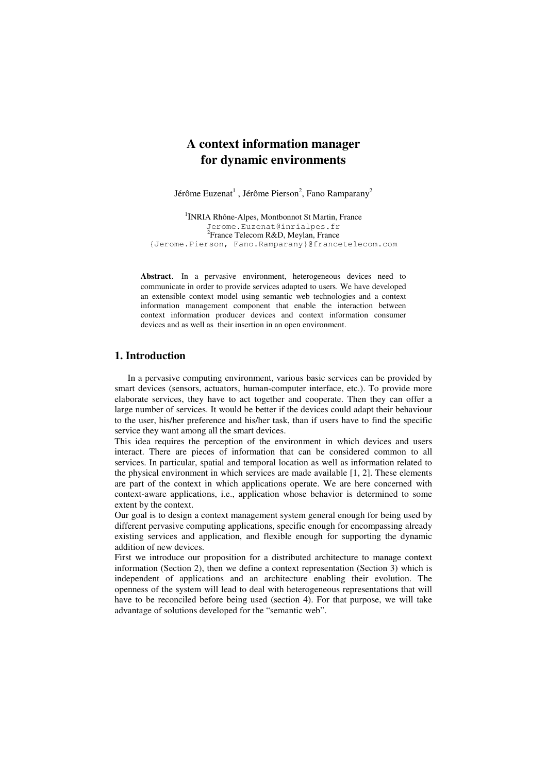# **A context information manager for dynamic environments**

Jérôme Euzenat<sup>1</sup>, Jérôme Pierson<sup>2</sup>, Fano Ramparany<sup>2</sup>

<sup>1</sup> INRIA Rhône-Alpes, Montbonnot St Martin, France Jerome.Euzenat@inrialpes.fr <sup>2</sup> France Telecom R&D, Meylan, France {Jerome.Pierson, Fano.Ramparany}@francetelecom.com

**Abstract**. In a pervasive environment, heterogeneous devices need to communicate in order to provide services adapted to users. We have developed an extensible context model using semantic web technologies and a context information management component that enable the interaction between context information producer devices and context information consumer devices and as well as their insertion in an open environment.

## **1. Introduction**

In a pervasive computing environment, various basic services can be provided by smart devices (sensors, actuators, human-computer interface, etc.). To provide more elaborate services, they have to act together and cooperate. Then they can offer a large number of services. It would be better if the devices could adapt their behaviour to the user, his/her preference and his/her task, than if users have to find the specific service they want among all the smart devices.

This idea requires the perception of the environment in which devices and users interact. There are pieces of information that can be considered common to all services. In particular, spatial and temporal location as well as information related to the physical environment in which services are made available [1, 2]. These elements are part of the context in which applications operate. We are here concerned with context-aware applications, i.e., application whose behavior is determined to some extent by the context.

Our goal is to design a context management system general enough for being used by different pervasive computing applications, specific enough for encompassing already existing services and application, and flexible enough for supporting the dynamic addition of new devices.

First we introduce our proposition for a distributed architecture to manage context information (Section 2), then we define a context representation (Section 3) which is independent of applications and an architecture enabling their evolution. The openness of the system will lead to deal with heterogeneous representations that will have to be reconciled before being used (section 4). For that purpose, we will take advantage of solutions developed for the "semantic web".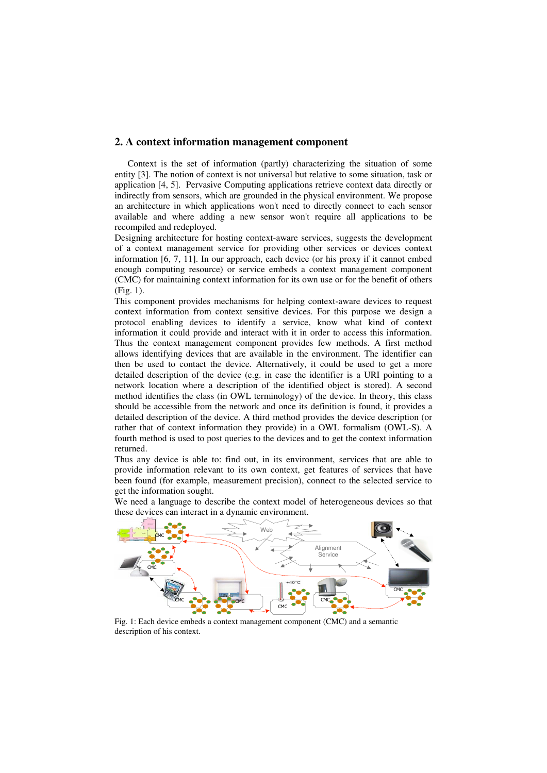#### **2. A context information management component**

Context is the set of information (partly) characterizing the situation of some entity [3]. The notion of context is not universal but relative to some situation, task or application [4, 5]. Pervasive Computing applications retrieve context data directly or indirectly from sensors, which are grounded in the physical environment. We propose an architecture in which applications won't need to directly connect to each sensor available and where adding a new sensor won't require all applications to be recompiled and redeployed.

Designing architecture for hosting context-aware services, suggests the development of a context management service for providing other services or devices context information [6, 7, 11]. In our approach, each device (or his proxy if it cannot embed enough computing resource) or service embeds a context management component (CMC) for maintaining context information for its own use or for the benefit of others (Fig. 1).

This component provides mechanisms for helping context-aware devices to request context information from context sensitive devices. For this purpose we design a protocol enabling devices to identify a service, know what kind of context information it could provide and interact with it in order to access this information. Thus the context management component provides few methods. A first method allows identifying devices that are available in the environment. The identifier can then be used to contact the device. Alternatively, it could be used to get a more detailed description of the device (e.g. in case the identifier is a URI pointing to a network location where a description of the identified object is stored). A second method identifies the class (in OWL terminology) of the device. In theory, this class should be accessible from the network and once its definition is found, it provides a detailed description of the device. A third method provides the device description (or rather that of context information they provide) in a OWL formalism (OWL-S). A fourth method is used to post queries to the devices and to get the context information returned.

Thus any device is able to: find out, in its environment, services that are able to provide information relevant to its own context, get features of services that have been found (for example, measurement precision), connect to the selected service to get the information sought.

We need a language to describe the context model of heterogeneous devices so that these devices can interact in a dynamic environment.



Fig. 1: Each device embeds a context management component (CMC) and a semantic description of his context.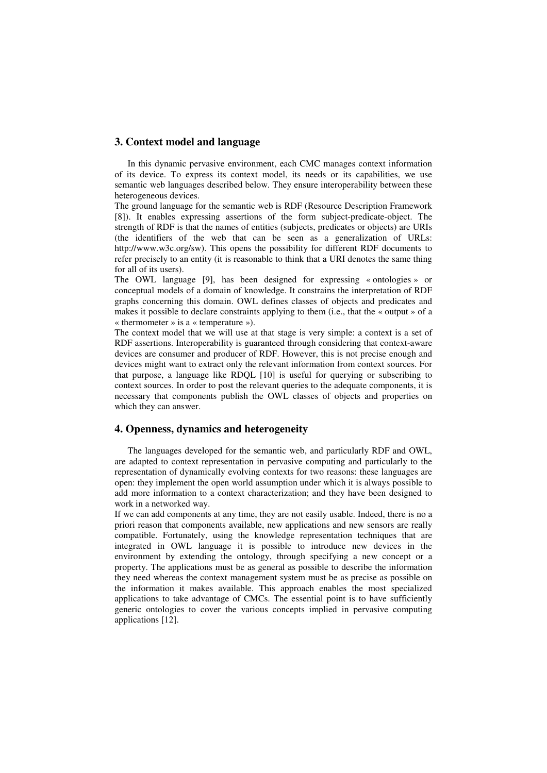#### **3. Context model and language**

In this dynamic pervasive environment, each CMC manages context information of its device. To express its context model, its needs or its capabilities, we use semantic web languages described below. They ensure interoperability between these heterogeneous devices.

The ground language for the semantic web is RDF (Resource Description Framework [8]). It enables expressing assertions of the form subject-predicate-object. The strength of RDF is that the names of entities (subjects, predicates or objects) are URIs (the identifiers of the web that can be seen as a generalization of URLs: http://www.w3c.org/sw). This opens the possibility for different RDF documents to refer precisely to an entity (it is reasonable to think that a URI denotes the same thing for all of its users).

The OWL language [9], has been designed for expressing « ontologies » or conceptual models of a domain of knowledge. It constrains the interpretation of RDF graphs concerning this domain. OWL defines classes of objects and predicates and makes it possible to declare constraints applying to them (i.e., that the « output » of a « thermometer » is a « temperature »).

The context model that we will use at that stage is very simple: a context is a set of RDF assertions. Interoperability is guaranteed through considering that context-aware devices are consumer and producer of RDF. However, this is not precise enough and devices might want to extract only the relevant information from context sources. For that purpose, a language like RDQL [10] is useful for querying or subscribing to context sources. In order to post the relevant queries to the adequate components, it is necessary that components publish the OWL classes of objects and properties on which they can answer.

## **4. Openness, dynamics and heterogeneity**

The languages developed for the semantic web, and particularly RDF and OWL, are adapted to context representation in pervasive computing and particularly to the representation of dynamically evolving contexts for two reasons: these languages are open: they implement the open world assumption under which it is always possible to add more information to a context characterization; and they have been designed to work in a networked way.

If we can add components at any time, they are not easily usable. Indeed, there is no a priori reason that components available, new applications and new sensors are really compatible. Fortunately, using the knowledge representation techniques that are integrated in OWL language it is possible to introduce new devices in the environment by extending the ontology, through specifying a new concept or a property. The applications must be as general as possible to describe the information they need whereas the context management system must be as precise as possible on the information it makes available. This approach enables the most specialized applications to take advantage of CMCs. The essential point is to have sufficiently generic ontologies to cover the various concepts implied in pervasive computing applications [12].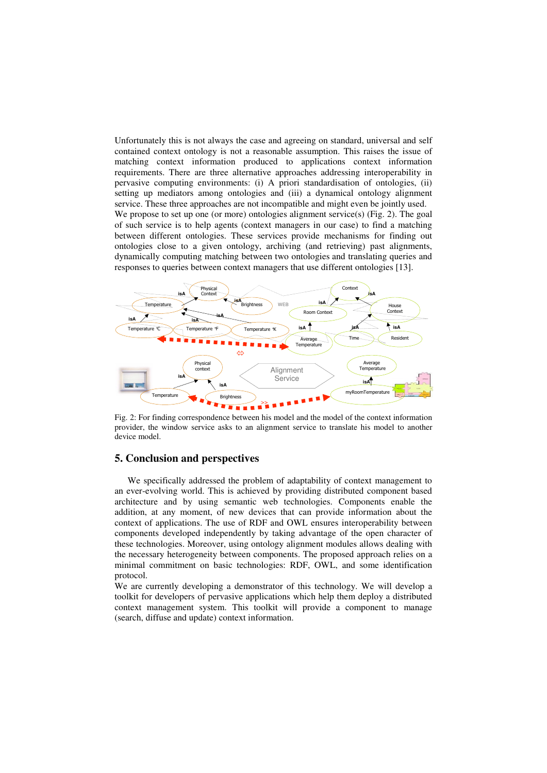Unfortunately this is not always the case and agreeing on standard, universal and self contained context ontology is not a reasonable assumption. This raises the issue of matching context information produced to applications context information requirements. There are three alternative approaches addressing interoperability in pervasive computing environments: (i) A priori standardisation of ontologies, (ii) setting up mediators among ontologies and (iii) a dynamical ontology alignment service. These three approaches are not incompatible and might even be jointly used. We propose to set up one (or more) ontologies alignment service(s) (Fig. 2). The goal of such service is to help agents (context managers in our case) to find a matching between different ontologies. These services provide mechanisms for finding out ontologies close to a given ontology, archiving (and retrieving) past alignments, dynamically computing matching between two ontologies and translating queries and responses to queries between context managers that use different ontologies [13].



Fig. 2: For finding correspondence between his model and the model of the context information provider, the window service asks to an alignment service to translate his model to another device model.

#### **5. Conclusion and perspectives**

We specifically addressed the problem of adaptability of context management to an ever-evolving world. This is achieved by providing distributed component based architecture and by using semantic web technologies. Components enable the addition, at any moment, of new devices that can provide information about the context of applications. The use of RDF and OWL ensures interoperability between components developed independently by taking advantage of the open character of these technologies. Moreover, using ontology alignment modules allows dealing with the necessary heterogeneity between components. The proposed approach relies on a minimal commitment on basic technologies: RDF, OWL, and some identification protocol.

We are currently developing a demonstrator of this technology. We will develop a toolkit for developers of pervasive applications which help them deploy a distributed context management system. This toolkit will provide a component to manage (search, diffuse and update) context information.